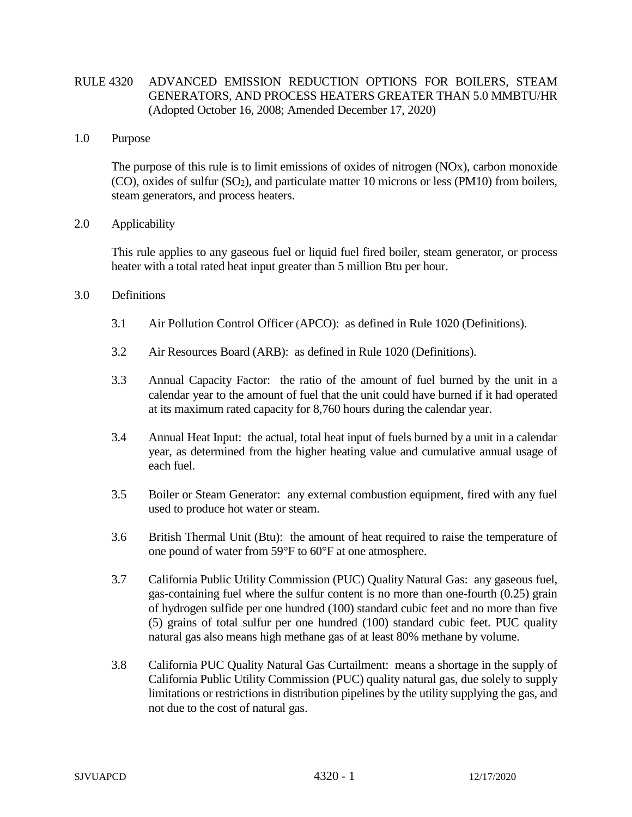# RULE 4320 ADVANCED EMISSION REDUCTION OPTIONS FOR BOILERS, STEAM GENERATORS, AND PROCESS HEATERS GREATER THAN 5.0 MMBTU/HR (Adopted October 16, 2008; Amended December 17, 2020)

## 1.0 Purpose

The purpose of this rule is to limit emissions of oxides of nitrogen (NOx), carbon monoxide  $(CO)$ , oxides of sulfur  $(SO<sub>2</sub>)$ , and particulate matter 10 microns or less (PM10) from boilers, steam generators, and process heaters.

### 2.0 Applicability

This rule applies to any gaseous fuel or liquid fuel fired boiler, steam generator, or process heater with a total rated heat input greater than 5 million Btu per hour.

### 3.0 Definitions

- 3.1 Air Pollution Control Officer (APCO): as defined in Rule 1020 (Definitions).
- 3.2 Air Resources Board (ARB): as defined in Rule 1020 (Definitions).
- 3.3 Annual Capacity Factor: the ratio of the amount of fuel burned by the unit in a calendar year to the amount of fuel that the unit could have burned if it had operated at its maximum rated capacity for 8,760 hours during the calendar year.
- 3.4 Annual Heat Input: the actual, total heat input of fuels burned by a unit in a calendar year, as determined from the higher heating value and cumulative annual usage of each fuel.
- 3.5 Boiler or Steam Generator: any external combustion equipment, fired with any fuel used to produce hot water or steam.
- 3.6 British Thermal Unit (Btu): the amount of heat required to raise the temperature of one pound of water from 59°F to 60°F at one atmosphere.
- 3.7 California Public Utility Commission (PUC) Quality Natural Gas: any gaseous fuel, gas-containing fuel where the sulfur content is no more than one-fourth (0.25) grain of hydrogen sulfide per one hundred (100) standard cubic feet and no more than five (5) grains of total sulfur per one hundred (100) standard cubic feet. PUC quality natural gas also means high methane gas of at least 80% methane by volume.
- 3.8 California PUC Quality Natural Gas Curtailment: means a shortage in the supply of California Public Utility Commission (PUC) quality natural gas, due solely to supply limitations or restrictions in distribution pipelines by the utility supplying the gas, and not due to the cost of natural gas.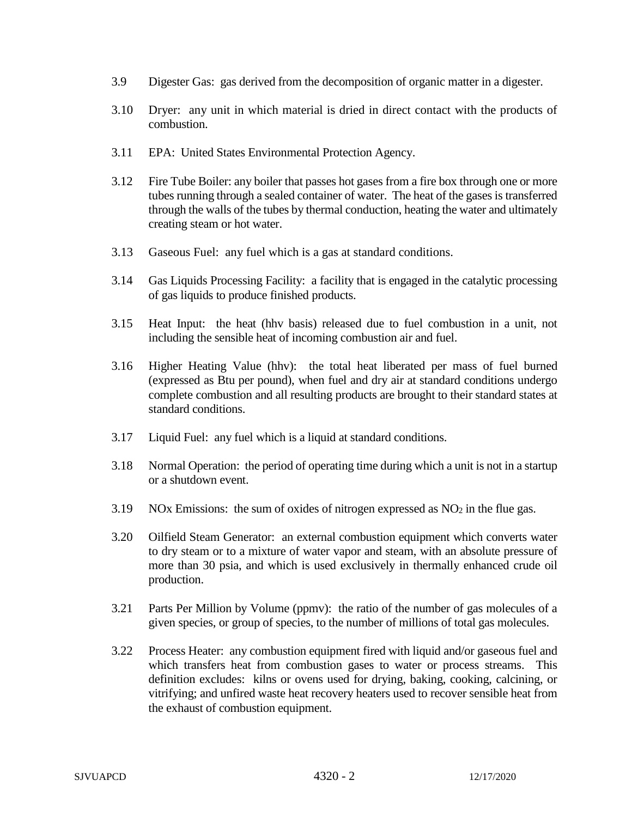- 3.9 Digester Gas: gas derived from the decomposition of organic matter in a digester.
- 3.10 Dryer: any unit in which material is dried in direct contact with the products of combustion.
- 3.11 EPA: United States Environmental Protection Agency.
- 3.12 Fire Tube Boiler: any boiler that passes hot gases from a fire box through one or more tubes running through a sealed container of water. The heat of the gases is transferred through the walls of the tubes by thermal conduction, heating the water and ultimately creating steam or hot water.
- 3.13 Gaseous Fuel: any fuel which is a gas at standard conditions.
- 3.14 Gas Liquids Processing Facility: a facility that is engaged in the catalytic processing of gas liquids to produce finished products.
- 3.15 Heat Input: the heat (hhv basis) released due to fuel combustion in a unit, not including the sensible heat of incoming combustion air and fuel.
- 3.16 Higher Heating Value (hhv): the total heat liberated per mass of fuel burned (expressed as Btu per pound), when fuel and dry air at standard conditions undergo complete combustion and all resulting products are brought to their standard states at standard conditions.
- 3.17 Liquid Fuel: any fuel which is a liquid at standard conditions.
- 3.18 Normal Operation: the period of operating time during which a unit is not in a startup or a shutdown event.
- 3.19 NOx Emissions: the sum of oxides of nitrogen expressed as  $NO<sub>2</sub>$  in the flue gas.
- 3.20 Oilfield Steam Generator: an external combustion equipment which converts water to dry steam or to a mixture of water vapor and steam, with an absolute pressure of more than 30 psia, and which is used exclusively in thermally enhanced crude oil production.
- 3.21 Parts Per Million by Volume (ppmv): the ratio of the number of gas molecules of a given species, or group of species, to the number of millions of total gas molecules.
- 3.22 Process Heater: any combustion equipment fired with liquid and/or gaseous fuel and which transfers heat from combustion gases to water or process streams. This definition excludes: kilns or ovens used for drying, baking, cooking, calcining, or vitrifying; and unfired waste heat recovery heaters used to recover sensible heat from the exhaust of combustion equipment.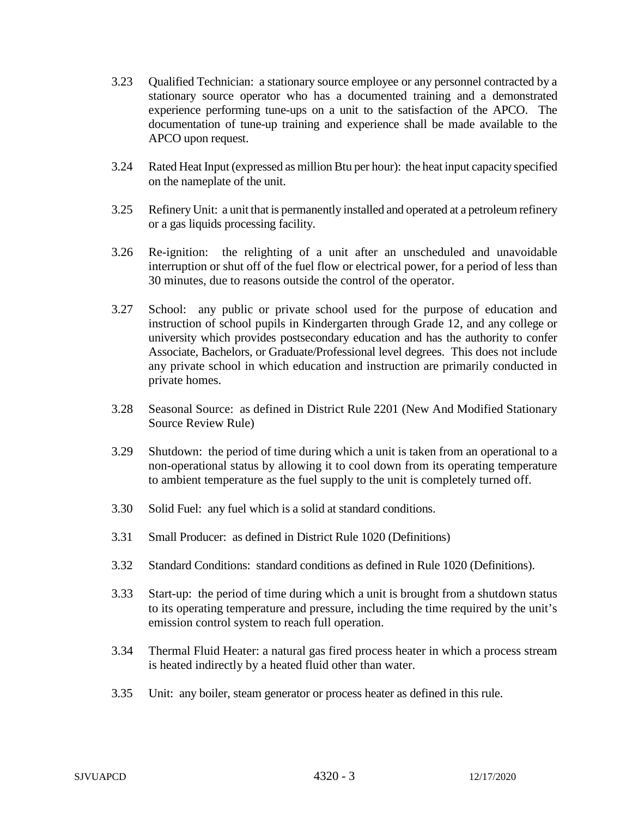- 3.23 Qualified Technician: a stationary source employee or any personnel contracted by a stationary source operator who has a documented training and a demonstrated experience performing tune-ups on a unit to the satisfaction of the APCO. The documentation of tune-up training and experience shall be made available to the APCO upon request.
- 3.24 Rated Heat Input (expressed as million Btu per hour): the heat input capacity specified on the nameplate of the unit.
- 3.25 Refinery Unit: a unit that is permanently installed and operated at a petroleum refinery or a gas liquids processing facility.
- 3.26 Re-ignition: the relighting of a unit after an unscheduled and unavoidable interruption or shut off of the fuel flow or electrical power, for a period of less than 30 minutes, due to reasons outside the control of the operator.
- 3.27 School: any public or private school used for the purpose of education and instruction of school pupils in Kindergarten through Grade 12, and any college or university which provides postsecondary education and has the authority to confer Associate, Bachelors, or Graduate/Professional level degrees. This does not include any private school in which education and instruction are primarily conducted in private homes.
- 3.28 Seasonal Source: as defined in District Rule 2201 (New And Modified Stationary Source Review Rule)
- 3.29 Shutdown: the period of time during which a unit is taken from an operational to a non-operational status by allowing it to cool down from its operating temperature to ambient temperature as the fuel supply to the unit is completely turned off.
- 3.30 Solid Fuel: any fuel which is a solid at standard conditions.
- 3.31 Small Producer: as defined in District Rule 1020 (Definitions)
- 3.32 Standard Conditions: standard conditions as defined in Rule 1020 (Definitions).
- 3.33 Start-up: the period of time during which a unit is brought from a shutdown status to its operating temperature and pressure, including the time required by the unit's emission control system to reach full operation.
- 3.34 Thermal Fluid Heater: a natural gas fired process heater in which a process stream is heated indirectly by a heated fluid other than water.
- 3.35 Unit: any boiler, steam generator or process heater as defined in this rule.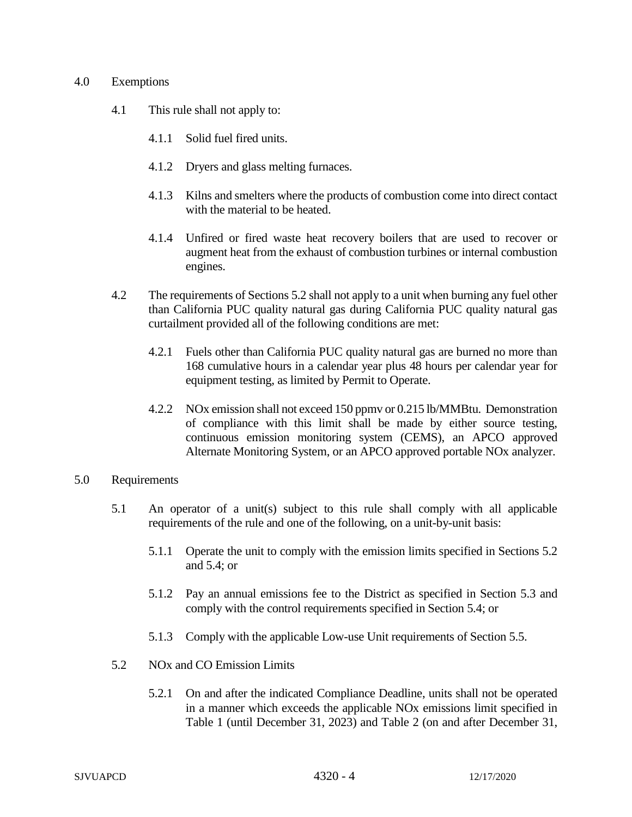### 4.0 Exemptions

- 4.1 This rule shall not apply to:
	- 4.1.1 Solid fuel fired units.
	- 4.1.2 Dryers and glass melting furnaces.
	- 4.1.3 Kilns and smelters where the products of combustion come into direct contact with the material to be heated.
	- 4.1.4 Unfired or fired waste heat recovery boilers that are used to recover or augment heat from the exhaust of combustion turbines or internal combustion engines.
- 4.2 The requirements of Sections 5.2 shall not apply to a unit when burning any fuel other than California PUC quality natural gas during California PUC quality natural gas curtailment provided all of the following conditions are met:
	- 4.2.1 Fuels other than California PUC quality natural gas are burned no more than 168 cumulative hours in a calendar year plus 48 hours per calendar year for equipment testing, as limited by Permit to Operate.
	- 4.2.2 NOx emission shall not exceed 150 ppmv or 0.215 lb/MMBtu. Demonstration of compliance with this limit shall be made by either source testing, continuous emission monitoring system (CEMS), an APCO approved Alternate Monitoring System, or an APCO approved portable NOx analyzer.
- 5.0 Requirements
	- 5.1 An operator of a unit(s) subject to this rule shall comply with all applicable requirements of the rule and one of the following, on a unit-by-unit basis:
		- 5.1.1 Operate the unit to comply with the emission limits specified in Sections 5.2 and 5.4; or
		- 5.1.2 Pay an annual emissions fee to the District as specified in Section 5.3 and comply with the control requirements specified in Section 5.4; or
		- 5.1.3 Comply with the applicable Low-use Unit requirements of Section 5.5.
	- 5.2 NOx and CO Emission Limits
		- 5.2.1 On and after the indicated Compliance Deadline, units shall not be operated in a manner which exceeds the applicable NOx emissions limit specified in Table 1 (until December 31, 2023) and Table 2 (on and after December 31,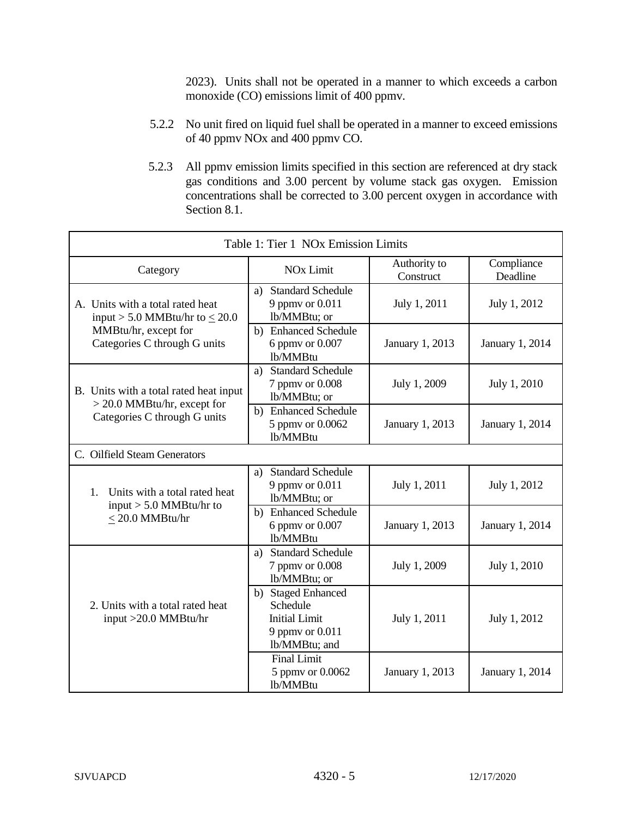2023). Units shall not be operated in a manner to which exceeds a carbon monoxide (CO) emissions limit of 400 ppmv.

- 5.2.2 No unit fired on liquid fuel shall be operated in a manner to exceed emissions of 40 ppmv NOx and 400 ppmv CO.
- 5.2.3 All ppmv emission limits specified in this section are referenced at dry stack gas conditions and 3.00 percent by volume stack gas oxygen. Emission concentrations shall be corrected to 3.00 percent oxygen in accordance with Section 8.1.

| Table 1: Tier 1 NOx Emission Limits                                     |                                                                                            |                           |                        |  |
|-------------------------------------------------------------------------|--------------------------------------------------------------------------------------------|---------------------------|------------------------|--|
| Category                                                                | <b>NO<sub>x</sub></b> Limit                                                                | Authority to<br>Construct | Compliance<br>Deadline |  |
| A. Units with a total rated heat<br>input > 5.0 MMBtu/hr to $\leq$ 20.0 | a) Standard Schedule<br>9 ppmv or 0.011<br>lb/MMBtu; or                                    | July 1, 2011              | July 1, 2012           |  |
| MMBtu/hr, except for<br>Categories C through G units                    | b) Enhanced Schedule<br>6 ppmy or 0.007<br>lb/MMBtu                                        | January 1, 2013           | <b>January 1, 2014</b> |  |
| B. Units with a total rated heat input<br>$>$ 20.0 MMBtu/hr, except for | a) Standard Schedule<br>7 ppmv or 0.008<br>lb/MMBtu; or                                    | July 1, 2009              | July 1, 2010           |  |
| Categories C through G units                                            | b) Enhanced Schedule<br>5 ppmv or 0.0062<br>lb/MMBtu                                       | January 1, 2013           | January 1, 2014        |  |
| C. Oilfield Steam Generators                                            |                                                                                            |                           |                        |  |
| Units with a total rated heat<br>$1_{-}$                                | <b>Standard Schedule</b><br>a)<br>9 ppmy or 0.011<br>lb/MMBtu; or                          | July 1, 2011              | July 1, 2012           |  |
| input $> 5.0$ MMBtu/hr to<br>$\leq$ 20.0 MMBtu/hr                       | b) Enhanced Schedule<br>6 ppmv or 0.007<br>lb/MMBtu                                        | January 1, 2013           | January 1, 2014        |  |
|                                                                         | a) Standard Schedule<br>7 ppmv or 0.008<br>lb/MMBtu; or                                    | July 1, 2009              | July 1, 2010           |  |
| 2. Units with a total rated heat<br>input >20.0 MMBtu/hr                | b) Staged Enhanced<br>Schedule<br><b>Initial Limit</b><br>9 ppmv or 0.011<br>lb/MMBtu; and | July 1, 2011              | July 1, 2012           |  |
|                                                                         | <b>Final Limit</b><br>5 ppmv or 0.0062<br>lb/MMBtu                                         | January 1, 2013           | <b>January 1, 2014</b> |  |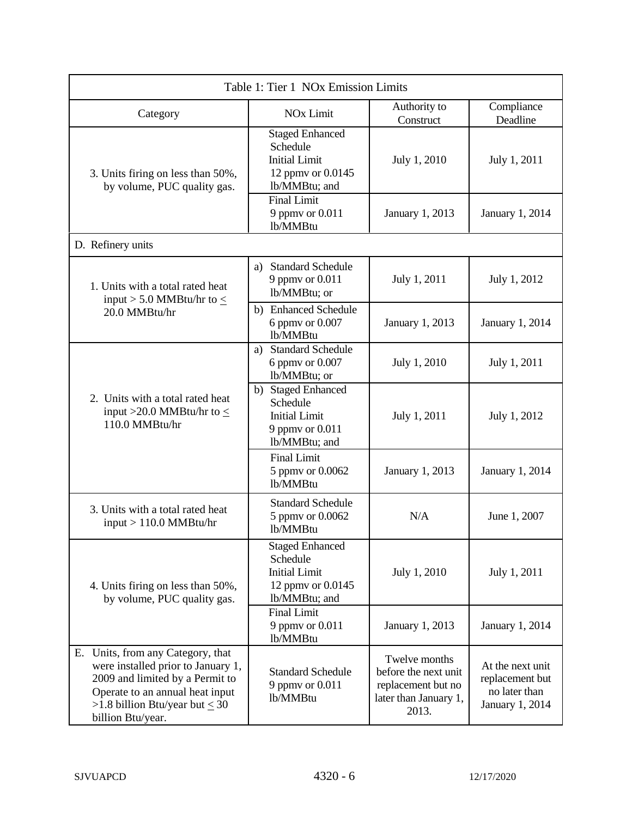| Table 1: Tier 1 NOx Emission Limits                                                                                                                                                                       |                                                                                                  |                                                                                               |                                                                         |  |
|-----------------------------------------------------------------------------------------------------------------------------------------------------------------------------------------------------------|--------------------------------------------------------------------------------------------------|-----------------------------------------------------------------------------------------------|-------------------------------------------------------------------------|--|
| Category                                                                                                                                                                                                  | <b>NO<sub>x</sub></b> Limit                                                                      | Authority to<br>Construct                                                                     | Compliance<br>Deadline                                                  |  |
| 3. Units firing on less than 50%,<br>by volume, PUC quality gas.                                                                                                                                          | <b>Staged Enhanced</b><br>Schedule<br><b>Initial Limit</b><br>12 ppmv or 0.0145<br>lb/MMBtu; and | July 1, 2010                                                                                  | July 1, 2011                                                            |  |
|                                                                                                                                                                                                           | <b>Final Limit</b><br>9 ppmv or 0.011<br>lb/MMBtu                                                | January 1, 2013                                                                               | January 1, 2014                                                         |  |
| D. Refinery units                                                                                                                                                                                         |                                                                                                  |                                                                                               |                                                                         |  |
| 1. Units with a total rated heat<br>input > 5.0 MMBtu/hr to $\leq$                                                                                                                                        | <b>Standard Schedule</b><br>a)<br>9 ppmv or 0.011<br>lb/MMBtu; or                                | July 1, 2011                                                                                  | July 1, 2012                                                            |  |
| 20.0 MMBtu/hr                                                                                                                                                                                             | b) Enhanced Schedule<br>6 ppmv or 0.007<br>lb/MMBtu                                              | January 1, 2013                                                                               | January 1, 2014                                                         |  |
|                                                                                                                                                                                                           | a) Standard Schedule<br>6 ppmv or 0.007<br>lb/MMBtu; or                                          | July 1, 2010                                                                                  | July 1, 2011                                                            |  |
| 2. Units with a total rated heat<br>input >20.0 MMBtu/hr to $\leq$<br>110.0 MMBtu/hr                                                                                                                      | b) Staged Enhanced<br>Schedule<br><b>Initial Limit</b><br>9 ppmv or 0.011<br>lb/MMBtu; and       | July 1, 2011                                                                                  | July 1, 2012                                                            |  |
|                                                                                                                                                                                                           | Final Limit<br>5 ppmv or 0.0062<br>lb/MMBtu                                                      | January 1, 2013                                                                               | January 1, 2014                                                         |  |
| 3. Units with a total rated heat<br>$input > 110.0$ MMBtu/hr                                                                                                                                              | <b>Standard Schedule</b><br>5 ppmv or 0.0062<br>lb/MMBtu                                         | N/A                                                                                           | June 1, 2007                                                            |  |
| 4. Units firing on less than 50%,<br>by volume, PUC quality gas.                                                                                                                                          | <b>Staged Enhanced</b><br>Schedule<br><b>Initial Limit</b><br>12 ppmv or 0.0145<br>lb/MMBtu; and | July 1, 2010                                                                                  | July 1, 2011                                                            |  |
|                                                                                                                                                                                                           | <b>Final Limit</b><br>9 ppmv or 0.011<br>lb/MMBtu                                                | January 1, 2013                                                                               | <b>January 1, 2014</b>                                                  |  |
| E. Units, from any Category, that<br>were installed prior to January 1,<br>2009 and limited by a Permit to<br>Operate to an annual heat input<br>>1.8 billion Btu/year but $\leq 30$<br>billion Btu/year. | <b>Standard Schedule</b><br>9 ppmv or 0.011<br>lb/MMBtu                                          | Twelve months<br>before the next unit<br>replacement but no<br>later than January 1,<br>2013. | At the next unit<br>replacement but<br>no later than<br>January 1, 2014 |  |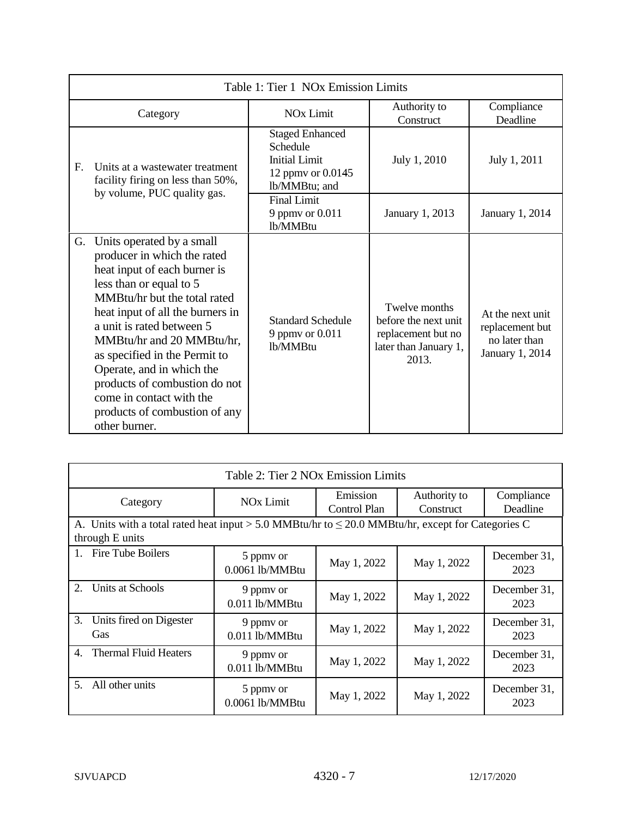| Table 1: Tier 1 NOx Emission Limits                                                                                         |                                                                                                                                                                                                                                                                                                                                                                                                                                |                                                                                                  |                                                                                               |                                                                         |
|-----------------------------------------------------------------------------------------------------------------------------|--------------------------------------------------------------------------------------------------------------------------------------------------------------------------------------------------------------------------------------------------------------------------------------------------------------------------------------------------------------------------------------------------------------------------------|--------------------------------------------------------------------------------------------------|-----------------------------------------------------------------------------------------------|-------------------------------------------------------------------------|
|                                                                                                                             | Category                                                                                                                                                                                                                                                                                                                                                                                                                       | Authority to<br><b>NO<sub>x</sub></b> Limit<br>Construct                                         |                                                                                               | Compliance<br>Deadline                                                  |
| $\mathbf{F}_{\cdot}$<br>Units at a wastewater treatment<br>facility firing on less than 50%,<br>by volume, PUC quality gas. |                                                                                                                                                                                                                                                                                                                                                                                                                                | <b>Staged Enhanced</b><br>Schedule<br><b>Initial Limit</b><br>12 ppmy or 0.0145<br>lb/MMBtu; and | July 1, 2010                                                                                  | July 1, 2011                                                            |
|                                                                                                                             |                                                                                                                                                                                                                                                                                                                                                                                                                                | <b>Final Limit</b><br>9 ppmy or 0.011<br>lb/MMBtu                                                | January 1, 2013                                                                               | January 1, 2014                                                         |
| G.                                                                                                                          | Units operated by a small<br>producer in which the rated<br>heat input of each burner is<br>less than or equal to 5<br>MMBtu/hr but the total rated<br>heat input of all the burners in<br>a unit is rated between 5<br>MMBtu/hr and 20 MMBtu/hr,<br>as specified in the Permit to<br>Operate, and in which the<br>products of combustion do not<br>come in contact with the<br>products of combustion of any<br>other burner. | <b>Standard Schedule</b><br>9 ppmv or 0.011<br>lb/MMBtu                                          | Twelve months<br>before the next unit<br>replacement but no<br>later than January 1,<br>2013. | At the next unit<br>replacement but<br>no later than<br>January 1, 2014 |

| Table 2: Tier 2 NOx Emission Limits                                                                                       |                              |                          |                           |                        |
|---------------------------------------------------------------------------------------------------------------------------|------------------------------|--------------------------|---------------------------|------------------------|
| Category                                                                                                                  | <b>NO<sub>x</sub></b> Limit  | Emission<br>Control Plan | Authority to<br>Construct | Compliance<br>Deadline |
| A. Units with a total rated heat input > 5.0 MMBtu/hr to $\leq$ 20.0 MMBtu/hr, except for Categories C<br>through E units |                              |                          |                           |                        |
| 1. Fire Tube Boilers                                                                                                      | 5 ppmy or<br>0.0061 lb/MMBtu | May 1, 2022              | May 1, 2022               | December 31,<br>2023   |
| $\overline{2}$ .<br>Units at Schools                                                                                      | 9 ppmy or<br>0.011 lb/MMBtu  | May 1, 2022              | May 1, 2022               | December 31,<br>2023   |
| 3.<br>Units fired on Digester<br>Gas                                                                                      | 9 ppmy or<br>0.011 lb/MMBtu  | May 1, 2022              | May 1, 2022               | December 31,<br>2023   |
| <b>Thermal Fluid Heaters</b><br>4.                                                                                        | 9 ppmy or<br>0.011 lb/MMBtu  | May 1, 2022              | May 1, 2022               | December 31,<br>2023   |
| All other units<br>5 <sub>1</sub>                                                                                         | 5 ppmv or<br>0.0061 lb/MMBtu | May 1, 2022              | May 1, 2022               | December 31,<br>2023   |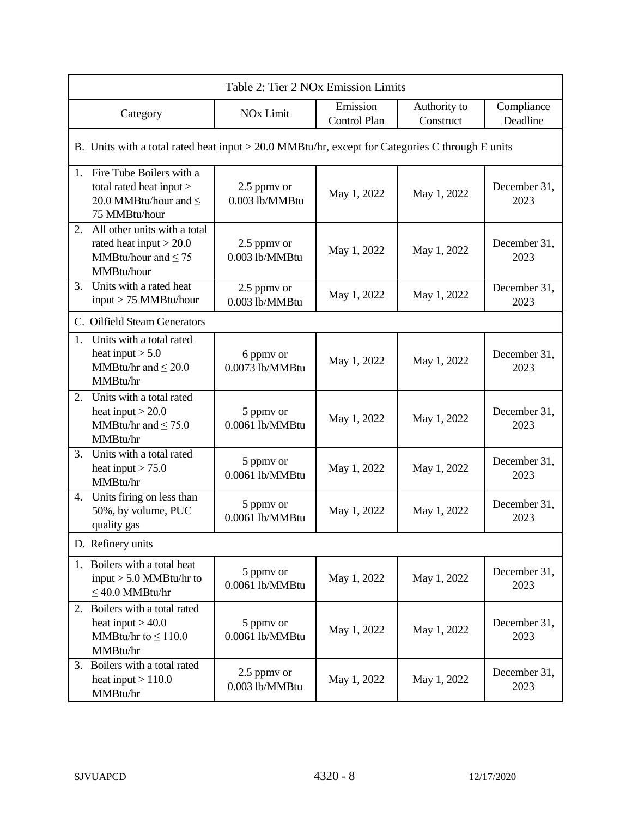| Table 2: Tier 2 NOx Emission Limits                                                                       |                               |                          |                           |                        |
|-----------------------------------------------------------------------------------------------------------|-------------------------------|--------------------------|---------------------------|------------------------|
| Category                                                                                                  | <b>NO<sub>x</sub></b> Limit   | Emission<br>Control Plan | Authority to<br>Construct | Compliance<br>Deadline |
| B. Units with a total rated heat input > 20.0 MMBtu/hr, except for Categories C through E units           |                               |                          |                           |                        |
| Fire Tube Boilers with a<br>1.<br>total rated heat input ><br>20.0 MMBtu/hour and $\leq$<br>75 MMBtu/hour | 2.5 ppmv or<br>0.003 lb/MMBtu | May 1, 2022              | May 1, 2022               | December 31,<br>2023   |
| All other units with a total<br>2.<br>rated heat input $>$ 20.0<br>MMBtu/hour and $\leq 75$<br>MMBtu/hour | 2.5 ppmv or<br>0.003 lb/MMBtu | May 1, 2022              | May 1, 2022               | December 31,<br>2023   |
| Units with a rated heat<br>3.<br>input > 75 MMBtu/hour                                                    | 2.5 ppmv or<br>0.003 lb/MMBtu | May 1, 2022              | May 1, 2022               | December 31,<br>2023   |
| C. Oilfield Steam Generators                                                                              |                               |                          |                           |                        |
| Units with a total rated<br>1.<br>heat input $> 5.0$<br>MMBtu/hr and $\leq$ 20.0<br>MMBtu/hr              | 6 ppmv or<br>0.0073 lb/MMBtu  | May 1, 2022              | May 1, 2022               | December 31,<br>2023   |
| 2.<br>Units with a total rated<br>heat input $>$ 20.0<br>MMBtu/hr and $\leq$ 75.0<br>MMBtu/hr             | 5 ppmv or<br>0.0061 lb/MMBtu  | May 1, 2022              | May 1, 2022               | December 31,<br>2023   |
| 3. Units with a total rated<br>heat input $> 75.0$<br>MMBtu/hr                                            | 5 ppmv or<br>0.0061 lb/MMBtu  | May 1, 2022              | May 1, 2022               | December 31,<br>2023   |
| Units firing on less than<br>4.<br>50%, by volume, PUC<br>quality gas                                     | 5 ppmv or<br>0.0061 lb/MMBtu  | May 1, 2022              | May 1, 2022               | December 31,<br>2023   |
| D. Refinery units                                                                                         |                               |                          |                           |                        |
| 1. Boilers with a total heat<br>input $> 5.0$ MMBtu/hr to<br>$\leq$ 40.0 MMBtu/hr                         | 5 ppmv or<br>0.0061 lb/MMBtu  | May 1, 2022              | May 1, 2022               | December 31,<br>2023   |
| 2. Boilers with a total rated<br>heat input $> 40.0$<br>MMBtu/hr to $\leq 110.0$<br>MMBtu/hr              | 5 ppmv or<br>0.0061 lb/MMBtu  | May 1, 2022              | May 1, 2022               | December 31,<br>2023   |
| Boilers with a total rated<br>3.<br>heat input $> 110.0$<br>MMBtu/hr                                      | 2.5 ppmy or<br>0.003 lb/MMBtu | May 1, 2022              | May 1, 2022               | December 31,<br>2023   |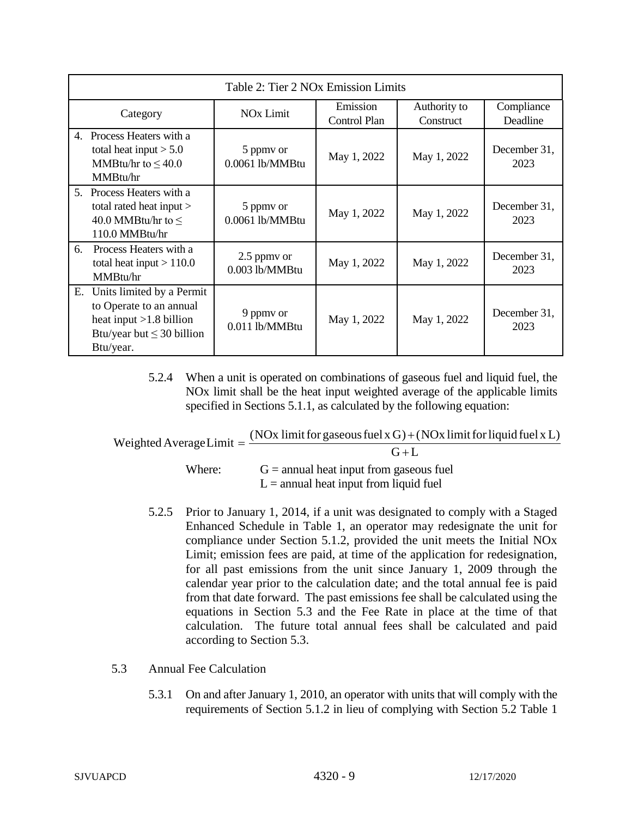| Table 2: Tier 2 NOx Emission Limits                                                                                                    |                               |                          |                           |                        |
|----------------------------------------------------------------------------------------------------------------------------------------|-------------------------------|--------------------------|---------------------------|------------------------|
| Category                                                                                                                               | <b>NO<sub>x</sub></b> Limit   | Emission<br>Control Plan | Authority to<br>Construct | Compliance<br>Deadline |
| $\mathbf{4}$ .<br>Process Heaters with a<br>total heat input $> 5.0$<br>MMBtu/hr to $\leq 40.0$<br>MMBtu/hr                            | 5 ppmy or<br>0.0061 lb/MMBtu  | May 1, 2022              | May 1, 2022               | December 31,<br>2023   |
| 5. Process Heaters with a<br>total rated heat input ><br>40.0 MMBtu/hr to $\leq$<br>110.0 MMBtu/hr                                     | 5 ppmy or<br>0.0061 lb/MMBtu  | May 1, 2022              | May 1, 2022               | December 31,<br>2023   |
| Process Heaters with a<br>6.<br>total heat input $> 110.0$<br>MMBtu/hr                                                                 | 2.5 ppmy or<br>0.003 lb/MMBtu | May 1, 2022              | May 1, 2022               | December 31,<br>2023   |
| Units limited by a Permit<br>Е.<br>to Operate to an annual<br>heat input $>1.8$ billion<br>Btu/year but $\leq$ 30 billion<br>Btu/year. | 9 ppmy or<br>0.011 lb/MMBtu   | May 1, 2022              | May 1, 2022               | December 31,<br>2023   |

5.2.4 When a unit is operated on combinations of gaseous fuel and liquid fuel, the NOx limit shall be the heat input weighted average of the applicable limits specified in Sections 5.1.1, as calculated by the following equation:

| Weighted Average Limit $=$ $\frac{(100 \text{ m})}{2}$ | (NOx limit for gaseous fuel $x G$ ) + (NOx limit for liquid fuel $x L$ ) |
|--------------------------------------------------------|--------------------------------------------------------------------------|
|                                                        | $G+L$                                                                    |
| Where:                                                 | $G =$ annual heat input from gaseous fuel                                |
|                                                        | $L =$ annual heat input from liquid fuel                                 |

- 5.2.5 Prior to January 1, 2014, if a unit was designated to comply with a Staged Enhanced Schedule in Table 1, an operator may redesignate the unit for compliance under Section 5.1.2, provided the unit meets the Initial NOx Limit; emission fees are paid, at time of the application for redesignation, for all past emissions from the unit since January 1, 2009 through the calendar year prior to the calculation date; and the total annual fee is paid from that date forward. The past emissions fee shall be calculated using the equations in Section 5.3 and the Fee Rate in place at the time of that calculation. The future total annual fees shall be calculated and paid according to Section 5.3.
- 5.3 Annual Fee Calculation
	- 5.3.1 On and after January 1, 2010, an operator with units that will comply with the requirements of Section 5.1.2 in lieu of complying with Section 5.2 Table 1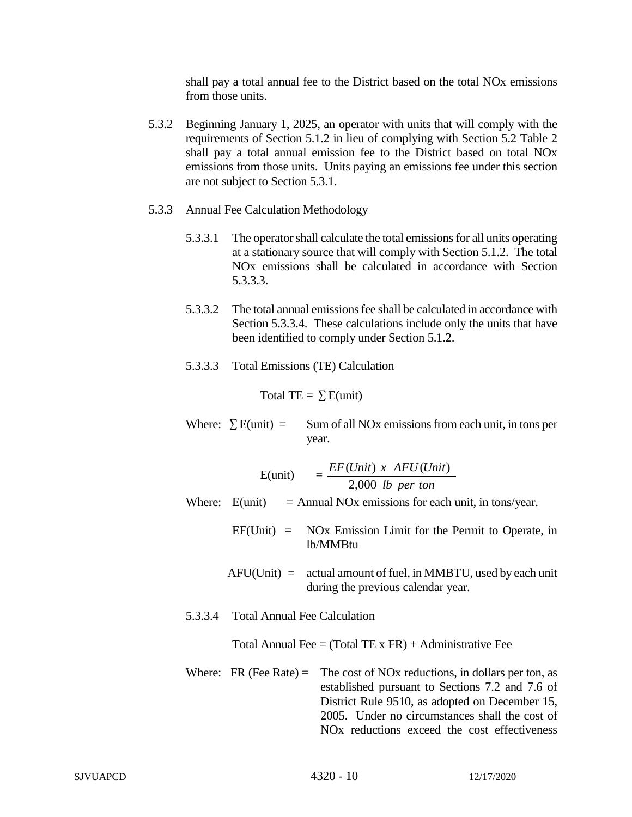shall pay a total annual fee to the District based on the total NOx emissions from those units.

- 5.3.2 Beginning January 1, 2025, an operator with units that will comply with the requirements of Section 5.1.2 in lieu of complying with Section 5.2 Table 2 shall pay a total annual emission fee to the District based on total NOx emissions from those units. Units paying an emissions fee under this section are not subject to Section 5.3.1.
- 5.3.3 Annual Fee Calculation Methodology
	- 5.3.3.1 The operator shall calculate the total emissions for all units operating at a stationary source that will comply with Section 5.1.2. The total NOx emissions shall be calculated in accordance with Section 5.3.3.3.
	- 5.3.3.2 The total annual emissions fee shall be calculated in accordance with Section 5.3.3.4. These calculations include only the units that have been identified to comply under Section 5.1.2.
	- 5.3.3.3 Total Emissions (TE) Calculation

Total TE =  $\sum$  E(unit)

Where:  $\sum E$ (unit) = Sum of all NOx emissions from each unit, in tons per year.

|                                      | E(unit) $= \frac{EF(Unit) \times AFU(Unit)}{2,000 \text{ lb per ton}}$                                                                                                                                                                                                            |
|--------------------------------------|-----------------------------------------------------------------------------------------------------------------------------------------------------------------------------------------------------------------------------------------------------------------------------------|
|                                      | Where: $E$ (unit) = Annual NOx emissions for each unit, in tons/year.                                                                                                                                                                                                             |
|                                      | $EF(Unit) = NOx$ Emission Limit for the Permit to Operate, in<br>lb/MMBtu                                                                                                                                                                                                         |
|                                      | $AFU(Unit) =$ actual amount of fuel, in MMBTU, used by each unit<br>during the previous calendar year.                                                                                                                                                                            |
| 5.3.3.4 Total Annual Fee Calculation |                                                                                                                                                                                                                                                                                   |
|                                      | Total Annual Fee = $(Total TE \times FR) +$ Administrative Fee                                                                                                                                                                                                                    |
| Where: FR (Fee Rate) $=$             | The cost of NO <sub>x</sub> reductions, in dollars per ton, as<br>established pursuant to Sections 7.2 and 7.6 of<br>District Rule 9510, as adopted on December 15,<br>2005. Under no circumstances shall the cost of<br>NO <sub>x</sub> reductions exceed the cost effectiveness |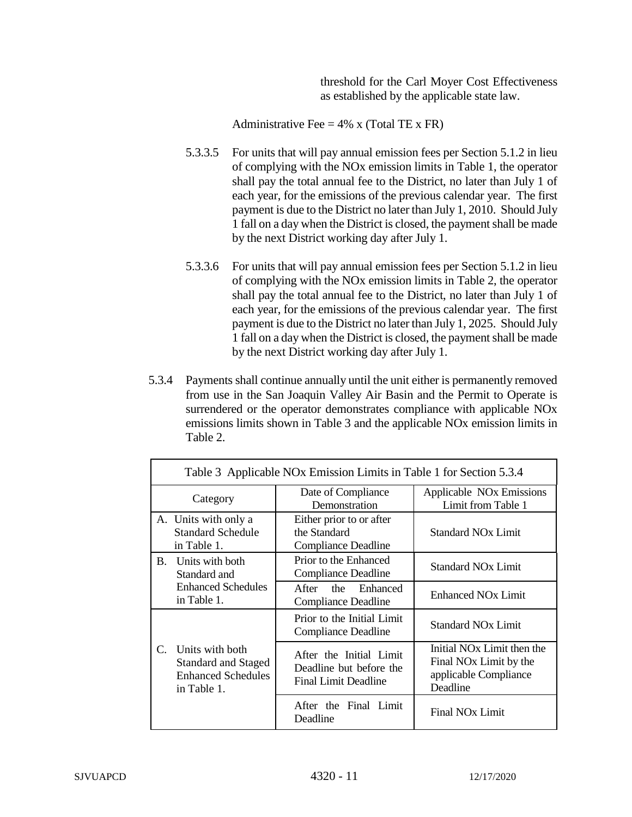threshold for the Carl Moyer Cost Effectiveness as established by the applicable state law.

Administrative Fee  $= 4\%$  x (Total TE x FR)

- 5.3.3.5 For units that will pay annual emission fees per Section 5.1.2 in lieu of complying with the NOx emission limits in Table 1, the operator shall pay the total annual fee to the District, no later than July 1 of each year, for the emissions of the previous calendar year. The first payment is due to the District no later than July 1, 2010. Should July 1 fall on a day when the District is closed, the payment shall be made by the next District working day after July 1.
- 5.3.3.6 For units that will pay annual emission fees per Section 5.1.2 in lieu of complying with the NOx emission limits in Table 2, the operator shall pay the total annual fee to the District, no later than July 1 of each year, for the emissions of the previous calendar year. The first payment is due to the District no later than July 1, 2025. Should July 1 fall on a day when the District is closed, the payment shall be made by the next District working day after July 1.
- 5.3.4 Payments shall continue annually until the unit either is permanently removed from use in the San Joaquin Valley Air Basin and the Permit to Operate is surrendered or the operator demonstrates compliance with applicable NOx emissions limits shown in Table 3 and the applicable NOx emission limits in Table 2.

|                                              | Table 3 Applicable NOx Emission Limits in Table 1 for Section 5.3.4                       |                                                                                   |                                                                                                                   |  |  |
|----------------------------------------------|-------------------------------------------------------------------------------------------|-----------------------------------------------------------------------------------|-------------------------------------------------------------------------------------------------------------------|--|--|
| Category                                     |                                                                                           | Date of Compliance<br>Demonstration                                               | Applicable NO <sub>x</sub> Emissions<br>Limit from Table 1                                                        |  |  |
|                                              | A. Units with only a<br><b>Standard Schedule</b><br>in Table 1.                           | Either prior to or after<br>the Standard<br><b>Compliance Deadline</b>            | <b>Standard NO<sub>x</sub></b> Limit                                                                              |  |  |
| Units with both<br><b>B.</b><br>Standard and |                                                                                           | Prior to the Enhanced<br>Compliance Deadline                                      | <b>Standard NOx Limit</b>                                                                                         |  |  |
| <b>Enhanced Schedules</b><br>in Table 1.     | After the Enhanced<br>Compliance Deadline                                                 | <b>Enhanced NOx Limit</b>                                                         |                                                                                                                   |  |  |
|                                              |                                                                                           | Prior to the Initial Limit<br><b>Compliance Deadline</b>                          | <b>Standard NOx Limit</b>                                                                                         |  |  |
| C.                                           | Units with both<br><b>Standard and Staged</b><br><b>Enhanced Schedules</b><br>in Table 1. | After the Initial Limit<br>Deadline but before the<br><b>Final Limit Deadline</b> | Initial NO <sub>x</sub> Limit then the<br>Final NO <sub>x</sub> Limit by the<br>applicable Compliance<br>Deadline |  |  |
|                                              |                                                                                           | After the Final Limit<br>Deadline                                                 | Final NO <sub>x</sub> Limit                                                                                       |  |  |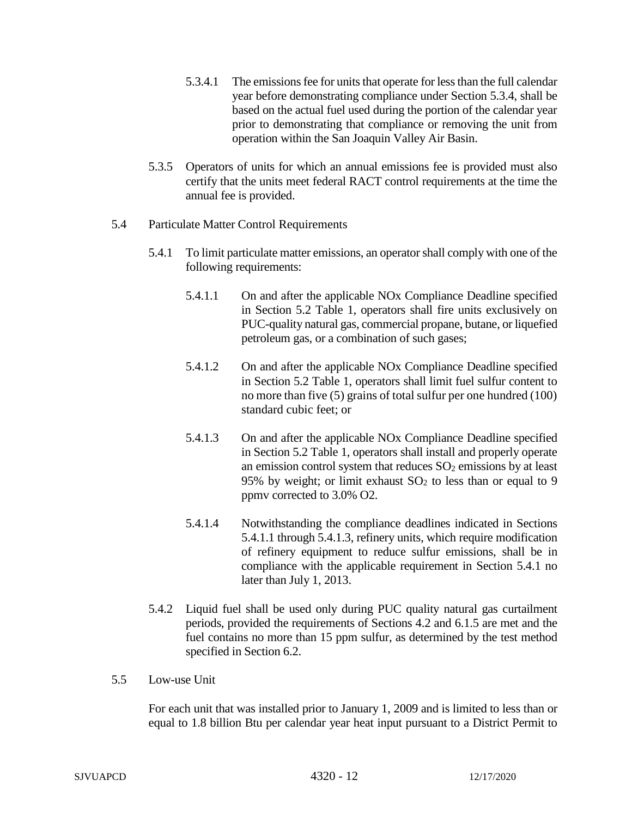- 5.3.4.1 The emissions fee for units that operate for less than the full calendar year before demonstrating compliance under Section 5.3.4, shall be based on the actual fuel used during the portion of the calendar year prior to demonstrating that compliance or removing the unit from operation within the San Joaquin Valley Air Basin.
- 5.3.5 Operators of units for which an annual emissions fee is provided must also certify that the units meet federal RACT control requirements at the time the annual fee is provided.
- 5.4 Particulate Matter Control Requirements
	- 5.4.1 To limit particulate matter emissions, an operator shall comply with one of the following requirements:
		- 5.4.1.1 On and after the applicable NOx Compliance Deadline specified in Section 5.2 Table 1, operators shall fire units exclusively on PUC-quality natural gas, commercial propane, butane, or liquefied petroleum gas, or a combination of such gases;
		- 5.4.1.2 On and after the applicable NOx Compliance Deadline specified in Section 5.2 Table 1, operators shall limit fuel sulfur content to no more than five (5) grains of total sulfur per one hundred (100) standard cubic feet; or
		- 5.4.1.3 On and after the applicable NOx Compliance Deadline specified in Section 5.2 Table 1, operators shall install and properly operate an emission control system that reduces  $SO_2$  emissions by at least 95% by weight; or limit exhaust  $SO<sub>2</sub>$  to less than or equal to 9 ppmv corrected to 3.0% O2.
		- 5.4.1.4 Notwithstanding the compliance deadlines indicated in Sections 5.4.1.1 through 5.4.1.3, refinery units, which require modification of refinery equipment to reduce sulfur emissions, shall be in compliance with the applicable requirement in Section 5.4.1 no later than July 1, 2013.
	- 5.4.2 Liquid fuel shall be used only during PUC quality natural gas curtailment periods, provided the requirements of Sections 4.2 and 6.1.5 are met and the fuel contains no more than 15 ppm sulfur, as determined by the test method specified in Section 6.2.
- 5.5 Low-use Unit

For each unit that was installed prior to January 1, 2009 and is limited to less than or equal to 1.8 billion Btu per calendar year heat input pursuant to a District Permit to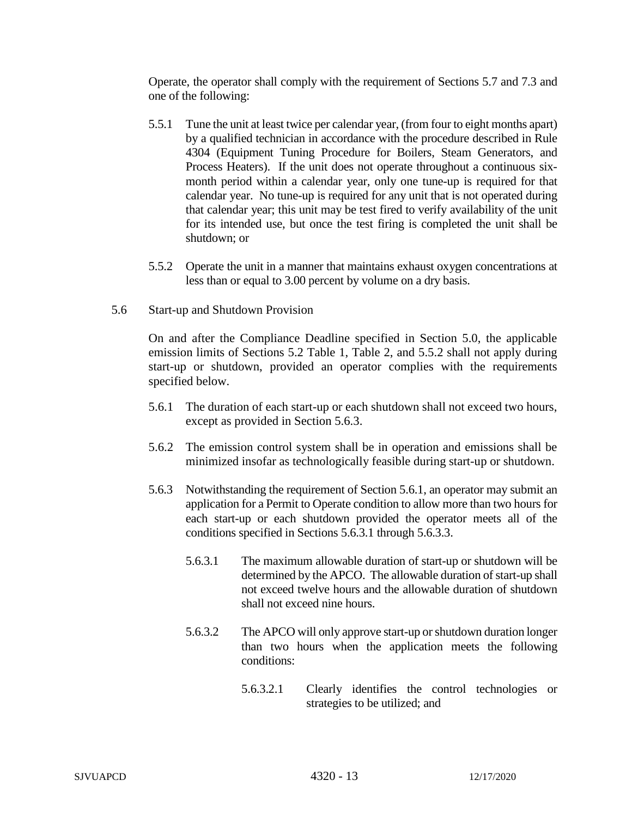Operate, the operator shall comply with the requirement of Sections 5.7 and 7.3 and one of the following:

- 5.5.1 Tune the unit at least twice per calendar year, (from four to eight months apart) by a qualified technician in accordance with the procedure described in Rule 4304 (Equipment Tuning Procedure for Boilers, Steam Generators, and Process Heaters). If the unit does not operate throughout a continuous sixmonth period within a calendar year, only one tune-up is required for that calendar year. No tune-up is required for any unit that is not operated during that calendar year; this unit may be test fired to verify availability of the unit for its intended use, but once the test firing is completed the unit shall be shutdown; or
- 5.5.2 Operate the unit in a manner that maintains exhaust oxygen concentrations at less than or equal to 3.00 percent by volume on a dry basis.
- 5.6 Start-up and Shutdown Provision

On and after the Compliance Deadline specified in Section 5.0, the applicable emission limits of Sections 5.2 Table 1, Table 2, and 5.5.2 shall not apply during start-up or shutdown, provided an operator complies with the requirements specified below.

- 5.6.1 The duration of each start-up or each shutdown shall not exceed two hours, except as provided in Section 5.6.3.
- 5.6.2 The emission control system shall be in operation and emissions shall be minimized insofar as technologically feasible during start-up or shutdown.
- 5.6.3 Notwithstanding the requirement of Section 5.6.1, an operator may submit an application for a Permit to Operate condition to allow more than two hours for each start-up or each shutdown provided the operator meets all of the conditions specified in Sections 5.6.3.1 through 5.6.3.3.
	- 5.6.3.1 The maximum allowable duration of start-up or shutdown will be determined by the APCO. The allowable duration of start-up shall not exceed twelve hours and the allowable duration of shutdown shall not exceed nine hours.
	- 5.6.3.2 The APCO will only approve start-up or shutdown duration longer than two hours when the application meets the following conditions:
		- 5.6.3.2.1 Clearly identifies the control technologies or strategies to be utilized; and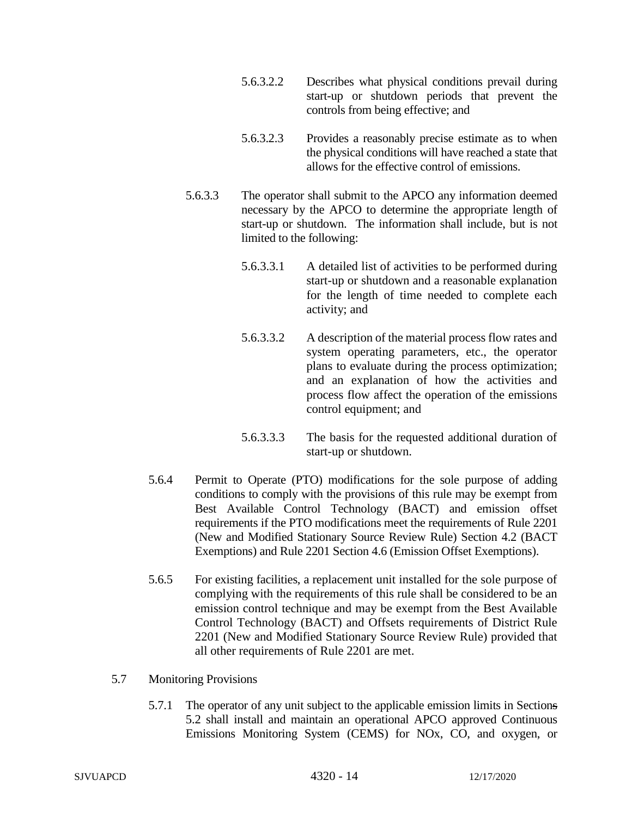- 5.6.3.2.2 Describes what physical conditions prevail during start-up or shutdown periods that prevent the controls from being effective; and
- 5.6.3.2.3 Provides a reasonably precise estimate as to when the physical conditions will have reached a state that allows for the effective control of emissions.
- 5.6.3.3 The operator shall submit to the APCO any information deemed necessary by the APCO to determine the appropriate length of start-up or shutdown. The information shall include, but is not limited to the following:
	- 5.6.3.3.1 A detailed list of activities to be performed during start-up or shutdown and a reasonable explanation for the length of time needed to complete each activity; and
	- 5.6.3.3.2 A description of the material process flow rates and system operating parameters, etc., the operator plans to evaluate during the process optimization; and an explanation of how the activities and process flow affect the operation of the emissions control equipment; and
	- 5.6.3.3.3 The basis for the requested additional duration of start-up or shutdown.
- 5.6.4 Permit to Operate (PTO) modifications for the sole purpose of adding conditions to comply with the provisions of this rule may be exempt from Best Available Control Technology (BACT) and emission offset requirements if the PTO modifications meet the requirements of Rule 2201 (New and Modified Stationary Source Review Rule) Section 4.2 (BACT Exemptions) and Rule 2201 Section 4.6 (Emission Offset Exemptions).
- 5.6.5 For existing facilities, a replacement unit installed for the sole purpose of complying with the requirements of this rule shall be considered to be an emission control technique and may be exempt from the Best Available Control Technology (BACT) and Offsets requirements of District Rule 2201 (New and Modified Stationary Source Review Rule) provided that all other requirements of Rule 2201 are met.
- 5.7 Monitoring Provisions
	- 5.7.1 The operator of any unit subject to the applicable emission limits in Sections 5.2 shall install and maintain an operational APCO approved Continuous Emissions Monitoring System (CEMS) for NOx, CO, and oxygen, or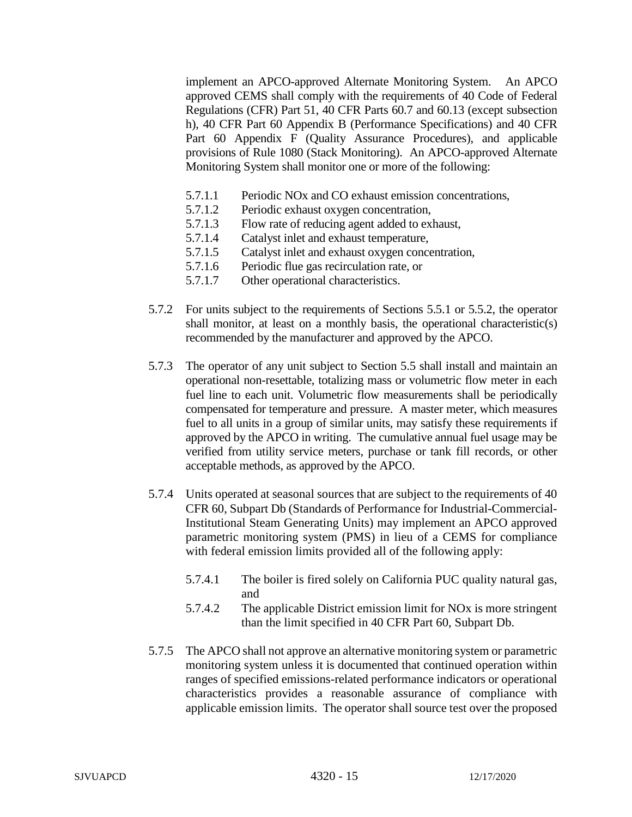implement an APCO-approved Alternate Monitoring System. An APCO approved CEMS shall comply with the requirements of 40 Code of Federal Regulations (CFR) Part 51, 40 CFR Parts 60.7 and 60.13 (except subsection h), 40 CFR Part 60 Appendix B (Performance Specifications) and 40 CFR Part 60 Appendix F (Quality Assurance Procedures), and applicable provisions of Rule 1080 (Stack Monitoring). An APCO-approved Alternate Monitoring System shall monitor one or more of the following:

- 5.7.1.1 Periodic NOx and CO exhaust emission concentrations,
- 5.7.1.2 Periodic exhaust oxygen concentration,
- 5.7.1.3 Flow rate of reducing agent added to exhaust,
- 5.7.1.4 Catalyst inlet and exhaust temperature,
- 5.7.1.5 Catalyst inlet and exhaust oxygen concentration,
- 5.7.1.6 Periodic flue gas recirculation rate, or
- 5.7.1.7 Other operational characteristics.
- 5.7.2 For units subject to the requirements of Sections 5.5.1 or 5.5.2, the operator shall monitor, at least on a monthly basis, the operational characteristic(s) recommended by the manufacturer and approved by the APCO.
- 5.7.3 The operator of any unit subject to Section 5.5 shall install and maintain an operational non-resettable, totalizing mass or volumetric flow meter in each fuel line to each unit. Volumetric flow measurements shall be periodically compensated for temperature and pressure. A master meter, which measures fuel to all units in a group of similar units, may satisfy these requirements if approved by the APCO in writing. The cumulative annual fuel usage may be verified from utility service meters, purchase or tank fill records, or other acceptable methods, as approved by the APCO.
- 5.7.4 Units operated at seasonal sources that are subject to the requirements of 40 CFR 60, Subpart Db (Standards of Performance for Industrial-Commercial-Institutional Steam Generating Units) may implement an APCO approved parametric monitoring system (PMS) in lieu of a CEMS for compliance with federal emission limits provided all of the following apply:
	- 5.7.4.1 The boiler is fired solely on California PUC quality natural gas, and
	- 5.7.4.2 The applicable District emission limit for NOx is more stringent than the limit specified in 40 CFR Part 60, Subpart Db.
- 5.7.5 The APCO shall not approve an alternative monitoring system or parametric monitoring system unless it is documented that continued operation within ranges of specified emissions-related performance indicators or operational characteristics provides a reasonable assurance of compliance with applicable emission limits. The operator shall source test over the proposed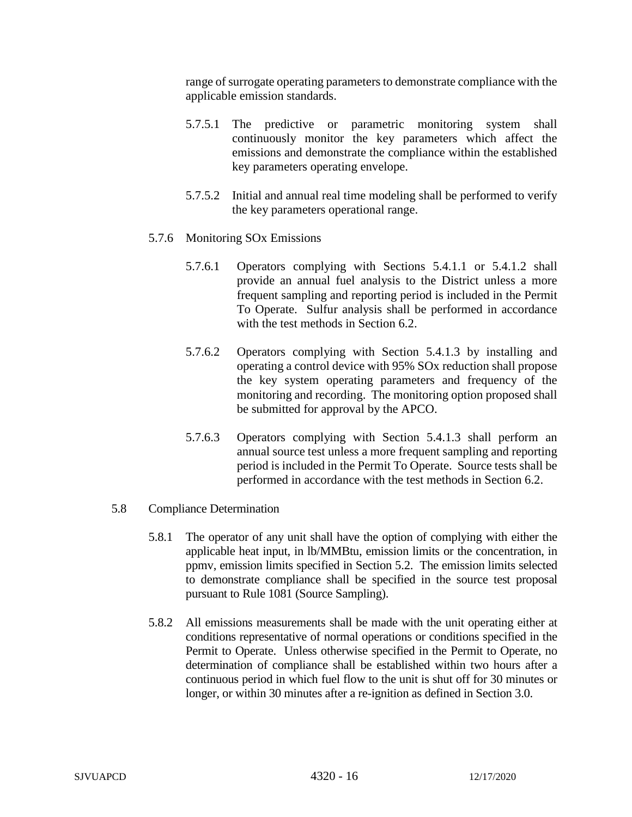range of surrogate operating parameters to demonstrate compliance with the applicable emission standards.

- 5.7.5.1 The predictive or parametric monitoring system shall continuously monitor the key parameters which affect the emissions and demonstrate the compliance within the established key parameters operating envelope.
- 5.7.5.2 Initial and annual real time modeling shall be performed to verify the key parameters operational range.
- 5.7.6 Monitoring SOx Emissions
	- 5.7.6.1 Operators complying with Sections 5.4.1.1 or 5.4.1.2 shall provide an annual fuel analysis to the District unless a more frequent sampling and reporting period is included in the Permit To Operate. Sulfur analysis shall be performed in accordance with the test methods in Section 6.2.
	- 5.7.6.2 Operators complying with Section 5.4.1.3 by installing and operating a control device with 95% SOx reduction shall propose the key system operating parameters and frequency of the monitoring and recording. The monitoring option proposed shall be submitted for approval by the APCO.
	- 5.7.6.3 Operators complying with Section 5.4.1.3 shall perform an annual source test unless a more frequent sampling and reporting period is included in the Permit To Operate. Source tests shall be performed in accordance with the test methods in Section 6.2.
- 5.8 Compliance Determination
	- 5.8.1 The operator of any unit shall have the option of complying with either the applicable heat input, in lb/MMBtu, emission limits or the concentration, in ppmv, emission limits specified in Section 5.2. The emission limits selected to demonstrate compliance shall be specified in the source test proposal pursuant to Rule 1081 (Source Sampling).
	- 5.8.2 All emissions measurements shall be made with the unit operating either at conditions representative of normal operations or conditions specified in the Permit to Operate. Unless otherwise specified in the Permit to Operate, no determination of compliance shall be established within two hours after a continuous period in which fuel flow to the unit is shut off for 30 minutes or longer, or within 30 minutes after a re-ignition as defined in Section 3.0.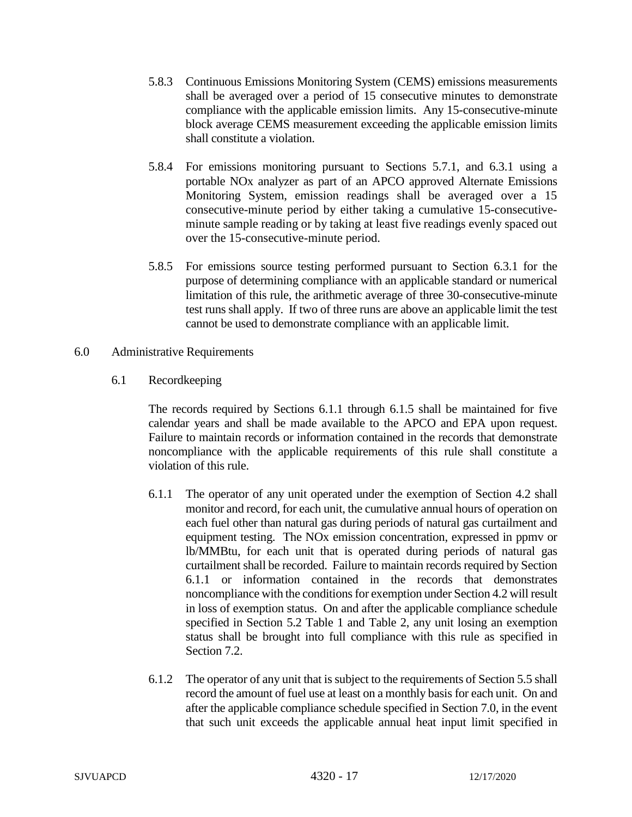- 5.8.3 Continuous Emissions Monitoring System (CEMS) emissions measurements shall be averaged over a period of 15 consecutive minutes to demonstrate compliance with the applicable emission limits. Any 15-consecutive-minute block average CEMS measurement exceeding the applicable emission limits shall constitute a violation.
- 5.8.4 For emissions monitoring pursuant to Sections 5.7.1, and 6.3.1 using a portable NOx analyzer as part of an APCO approved Alternate Emissions Monitoring System, emission readings shall be averaged over a 15 consecutive-minute period by either taking a cumulative 15-consecutiveminute sample reading or by taking at least five readings evenly spaced out over the 15-consecutive-minute period.
- 5.8.5 For emissions source testing performed pursuant to Section 6.3.1 for the purpose of determining compliance with an applicable standard or numerical limitation of this rule, the arithmetic average of three 30-consecutive-minute test runs shall apply. If two of three runs are above an applicable limit the test cannot be used to demonstrate compliance with an applicable limit.
- 6.0 Administrative Requirements
	- 6.1 Recordkeeping

The records required by Sections 6.1.1 through 6.1.5 shall be maintained for five calendar years and shall be made available to the APCO and EPA upon request. Failure to maintain records or information contained in the records that demonstrate noncompliance with the applicable requirements of this rule shall constitute a violation of this rule.

- 6.1.1 The operator of any unit operated under the exemption of Section 4.2 shall monitor and record, for each unit, the cumulative annual hours of operation on each fuel other than natural gas during periods of natural gas curtailment and equipment testing. The NOx emission concentration, expressed in ppmv or lb/MMBtu, for each unit that is operated during periods of natural gas curtailment shall be recorded. Failure to maintain records required by Section 6.1.1 or information contained in the records that demonstrates noncompliance with the conditions for exemption under Section 4.2 will result in loss of exemption status. On and after the applicable compliance schedule specified in Section 5.2 Table 1 and Table 2, any unit losing an exemption status shall be brought into full compliance with this rule as specified in Section 7.2.
- 6.1.2 The operator of any unit that is subject to the requirements of Section 5.5 shall record the amount of fuel use at least on a monthly basis for each unit. On and after the applicable compliance schedule specified in Section 7.0, in the event that such unit exceeds the applicable annual heat input limit specified in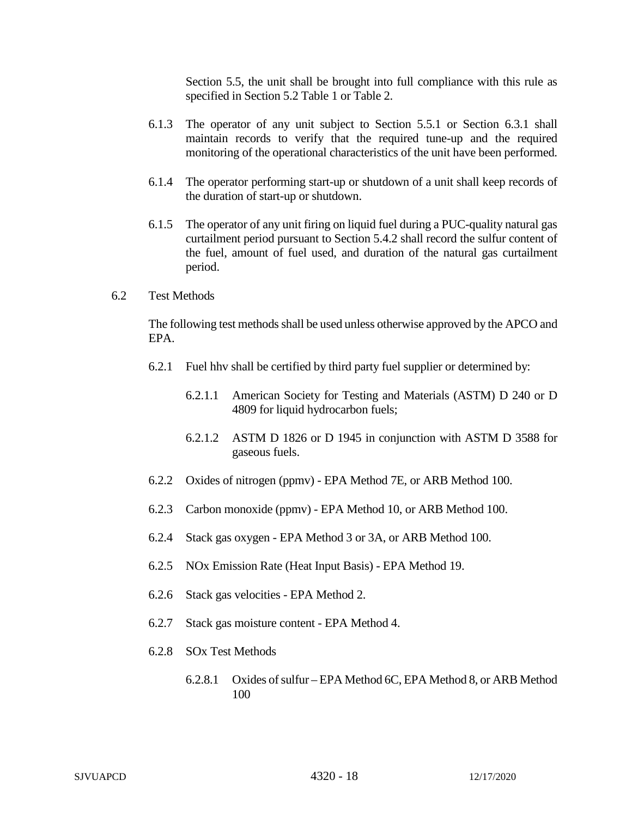Section 5.5, the unit shall be brought into full compliance with this rule as specified in Section 5.2 Table 1 or Table 2.

- 6.1.3 The operator of any unit subject to Section 5.5.1 or Section 6.3.1 shall maintain records to verify that the required tune-up and the required monitoring of the operational characteristics of the unit have been performed.
- 6.1.4 The operator performing start-up or shutdown of a unit shall keep records of the duration of start-up or shutdown.
- 6.1.5 The operator of any unit firing on liquid fuel during a PUC-quality natural gas curtailment period pursuant to Section 5.4.2 shall record the sulfur content of the fuel, amount of fuel used, and duration of the natural gas curtailment period.
- 6.2 Test Methods

The following test methods shall be used unless otherwise approved by the APCO and EPA.

- 6.2.1 Fuel hhv shall be certified by third party fuel supplier or determined by:
	- 6.2.1.1 American Society for Testing and Materials (ASTM) D 240 or D 4809 for liquid hydrocarbon fuels;
	- 6.2.1.2 ASTM D 1826 or D 1945 in conjunction with ASTM D 3588 for gaseous fuels.
- 6.2.2 Oxides of nitrogen (ppmv) EPA Method 7E, or ARB Method 100.
- 6.2.3 Carbon monoxide (ppmv) EPA Method 10, or ARB Method 100.
- 6.2.4 Stack gas oxygen EPA Method 3 or 3A, or ARB Method 100.
- 6.2.5 NOx Emission Rate (Heat Input Basis) EPA Method 19.
- 6.2.6 Stack gas velocities EPA Method 2.
- 6.2.7 Stack gas moisture content EPA Method 4.
- 6.2.8 SOx Test Methods
	- 6.2.8.1 Oxides of sulfur EPA Method 6C, EPA Method 8, or ARB Method 100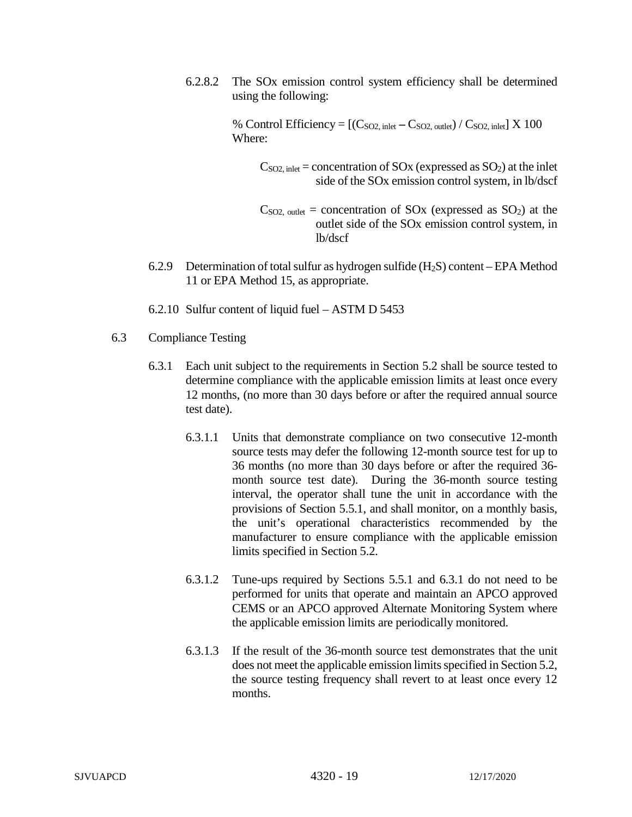6.2.8.2 The SOx emission control system efficiency shall be determined using the following:

> % Control Efficiency =  $[(C_{SO2, \text{inlet}} - C_{SO2, \text{outlet}}) / C_{SO2, \text{inlet}}] \times 100$ Where:

 $C<sub>SO2</sub>$ , inlet = concentration of SOx (expressed as SO<sub>2</sub>) at the inlet side of the SOx emission control system, in lb/dscf

 $C<sub>SO2</sub>$ , outlet = concentration of SOx (expressed as SO<sub>2</sub>) at the outlet side of the SOx emission control system, in lb/dscf

- 6.2.9 Determination of total sulfur as hydrogen sulfide  $(H_2S)$  content EPA Method 11 or EPA Method 15, as appropriate.
- 6.2.10 Sulfur content of liquid fuel ASTM D 5453
- 6.3 Compliance Testing
	- 6.3.1 Each unit subject to the requirements in Section 5.2 shall be source tested to determine compliance with the applicable emission limits at least once every 12 months, (no more than 30 days before or after the required annual source test date).
		- 6.3.1.1 Units that demonstrate compliance on two consecutive 12-month source tests may defer the following 12-month source test for up to 36 months (no more than 30 days before or after the required 36 month source test date). During the 36-month source testing interval, the operator shall tune the unit in accordance with the provisions of Section 5.5.1, and shall monitor, on a monthly basis, the unit's operational characteristics recommended by the manufacturer to ensure compliance with the applicable emission limits specified in Section 5.2.
		- 6.3.1.2 Tune-ups required by Sections 5.5.1 and 6.3.1 do not need to be performed for units that operate and maintain an APCO approved CEMS or an APCO approved Alternate Monitoring System where the applicable emission limits are periodically monitored.
		- 6.3.1.3 If the result of the 36-month source test demonstrates that the unit does not meet the applicable emission limits specified in Section 5.2, the source testing frequency shall revert to at least once every 12 months.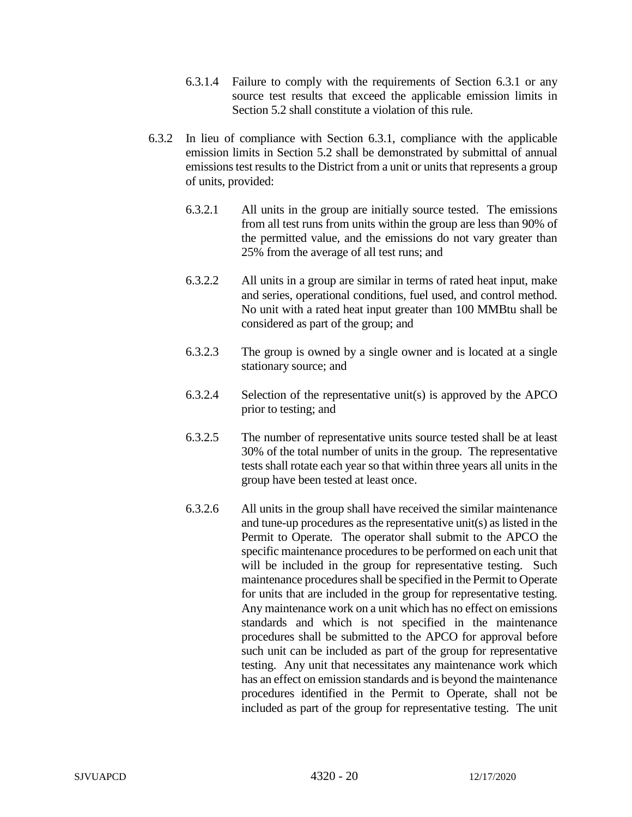- 6.3.1.4 Failure to comply with the requirements of Section 6.3.1 or any source test results that exceed the applicable emission limits in Section 5.2 shall constitute a violation of this rule.
- 6.3.2 In lieu of compliance with Section 6.3.1, compliance with the applicable emission limits in Section 5.2 shall be demonstrated by submittal of annual emissions test results to the District from a unit or units that represents a group of units, provided:
	- 6.3.2.1 All units in the group are initially source tested. The emissions from all test runs from units within the group are less than 90% of the permitted value, and the emissions do not vary greater than 25% from the average of all test runs; and
	- 6.3.2.2 All units in a group are similar in terms of rated heat input, make and series, operational conditions, fuel used, and control method. No unit with a rated heat input greater than 100 MMBtu shall be considered as part of the group; and
	- 6.3.2.3 The group is owned by a single owner and is located at a single stationary source; and
	- 6.3.2.4 Selection of the representative unit(s) is approved by the APCO prior to testing; and
	- 6.3.2.5 The number of representative units source tested shall be at least 30% of the total number of units in the group. The representative tests shall rotate each year so that within three years all units in the group have been tested at least once.
	- 6.3.2.6 All units in the group shall have received the similar maintenance and tune-up procedures as the representative unit(s) as listed in the Permit to Operate. The operator shall submit to the APCO the specific maintenance procedures to be performed on each unit that will be included in the group for representative testing. Such maintenance procedures shall be specified in the Permit to Operate for units that are included in the group for representative testing. Any maintenance work on a unit which has no effect on emissions standards and which is not specified in the maintenance procedures shall be submitted to the APCO for approval before such unit can be included as part of the group for representative testing. Any unit that necessitates any maintenance work which has an effect on emission standards and is beyond the maintenance procedures identified in the Permit to Operate, shall not be included as part of the group for representative testing. The unit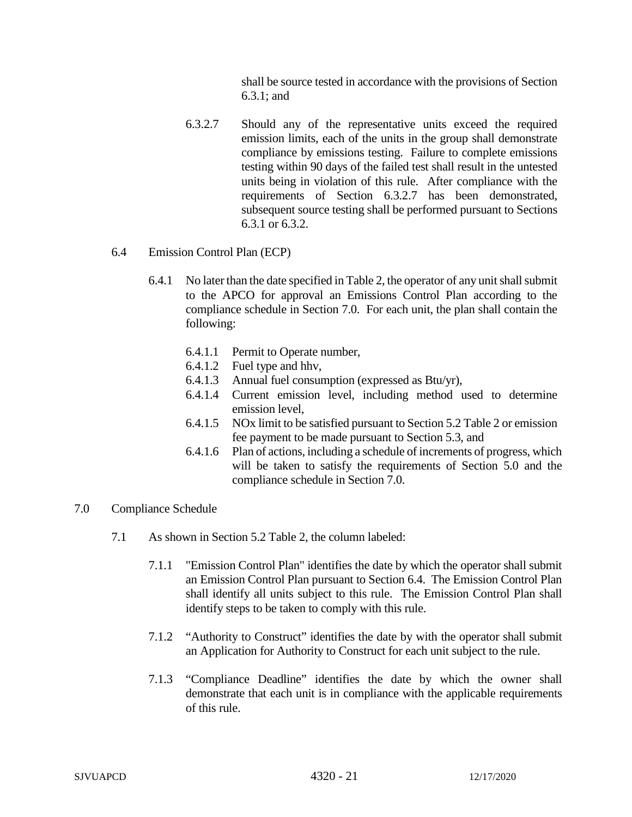shall be source tested in accordance with the provisions of Section 6.3.1; and

6.3.2.7 Should any of the representative units exceed the required emission limits, each of the units in the group shall demonstrate compliance by emissions testing. Failure to complete emissions testing within 90 days of the failed test shall result in the untested units being in violation of this rule. After compliance with the requirements of Section 6.3.2.7 has been demonstrated, subsequent source testing shall be performed pursuant to Sections 6.3.1 or 6.3.2.

#### 6.4 Emission Control Plan (ECP)

- 6.4.1 No later than the date specified in Table 2, the operator of any unit shall submit to the APCO for approval an Emissions Control Plan according to the compliance schedule in Section 7.0. For each unit, the plan shall contain the following:
	- 6.4.1.1 Permit to Operate number,
	- 6.4.1.2 Fuel type and hhv,
	- 6.4.1.3 Annual fuel consumption (expressed as Btu/yr),
	- 6.4.1.4 Current emission level, including method used to determine emission level,
	- 6.4.1.5 NOx limit to be satisfied pursuant to Section 5.2 Table 2 or emission fee payment to be made pursuant to Section 5.3, and
	- 6.4.1.6 Plan of actions, including a schedule of increments of progress, which will be taken to satisfy the requirements of Section 5.0 and the compliance schedule in Section 7.0.
- 7.0 Compliance Schedule
	- 7.1 As shown in Section 5.2 Table 2, the column labeled:
		- 7.1.1 "Emission Control Plan" identifies the date by which the operator shall submit an Emission Control Plan pursuant to Section 6.4. The Emission Control Plan shall identify all units subject to this rule. The Emission Control Plan shall identify steps to be taken to comply with this rule.
		- 7.1.2 "Authority to Construct" identifies the date by with the operator shall submit an Application for Authority to Construct for each unit subject to the rule.
		- 7.1.3 "Compliance Deadline" identifies the date by which the owner shall demonstrate that each unit is in compliance with the applicable requirements of this rule.